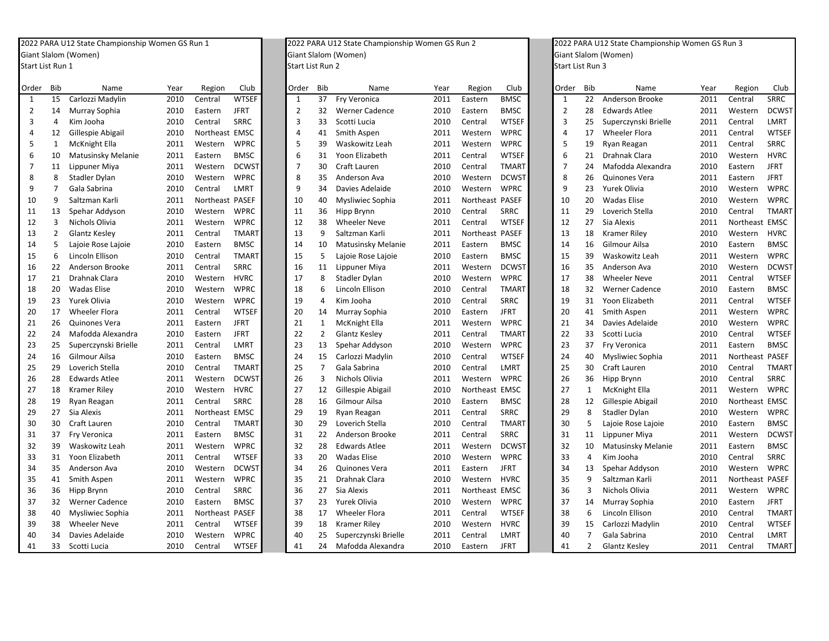## 2022 PARAGiant SlalomStart List Run

| Order | <b>Bib</b>     | Name                 | Year | Region          | Club         | Order          | Bib            | Name                  | Year | Region    | Club         | Order        | Bib            | Name                  | Year | Region          | Club         |
|-------|----------------|----------------------|------|-----------------|--------------|----------------|----------------|-----------------------|------|-----------|--------------|--------------|----------------|-----------------------|------|-----------------|--------------|
| 1     | 15             | Carlozzi Madylin     | 2010 | Central         | <b>WTSEF</b> | $\mathbf{1}$   | 37             | Fry Veronica          | 2011 | Eastern   | <b>BMSC</b>  | $\mathbf{1}$ | 22             | Anderson Brooke       | 2011 | Central         | SRRC         |
| 2     | 14             | Murray Sophia        | 2010 | Eastern         | <b>JFRT</b>  | $\mathcal{P}$  | 32             | <b>Werner Cadence</b> | 2010 | Eastern   | <b>BMSC</b>  | 2            | 28             | <b>Edwards Atlee</b>  | 2011 | Western         | <b>DCWST</b> |
| 3     | $\overline{4}$ | Kim Jooha            | 2010 | Central         | SRRC         | 3              | 33             | Scotti Lucia          | 2010 | Central   | <b>WTSEF</b> | 3            | 25             | Superczynski Brielle  | 2011 | Central         | LMRT         |
| 4     | 12             | Gillespie Abigail    | 2010 | Northeast EMSC  |              | 4              | 41             | Smith Aspen           | 2011 | Western   | <b>WPRC</b>  | 4            | 17             | <b>Wheeler Flora</b>  | 2011 | Central         | <b>WTSER</b> |
| 5     | $\mathbf{1}$   | McKnight Ella        | 2011 | Western         | <b>WPRC</b>  | 5              | 39             | Waskowitz Leah        | 2011 | Western   | <b>WPRC</b>  | 5            | 19             | Ryan Reagan           | 2011 | Central         | SRRC         |
| 6     | 10             | Matusinsky Melanie   | 2011 | Eastern         | <b>BMSC</b>  | 6              | 31             | Yoon Elizabeth        | 2011 | Central   | <b>WTSEF</b> |              | 21             | Drahnak Clara         | 2010 | Western         | <b>HVRC</b>  |
| 7     | 11             | Lippuner Miya        | 2011 | Western         | <b>DCWST</b> | $\overline{7}$ | 30             | Craft Lauren          | 2010 | Central   | <b>TMART</b> |              | 24             | Mafodda Alexandra     | 2010 | Eastern         | <b>JFRT</b>  |
| 8     | 8              | Stadler Dylan        | 2010 | Western         | <b>WPRC</b>  | 8              | 35             | Anderson Ava          | 2010 | Western   | <b>DCWST</b> | 8            | 26             | Quinones Vera         | 2011 | Eastern         | <b>JFRT</b>  |
| 9     |                | Gala Sabrina         | 2010 | Central         | LMRT         | q              | 34             | Davies Adelaide       | 2010 | Western   | <b>WPRC</b>  | q            | 23             | <b>Yurek Olivia</b>   | 2010 | Western         | WPRC         |
| 10    | q              | Saltzman Karli       | 2011 | Northeast PASEF |              | 10             | 40             | Mysliwiec Sophia      | 2011 | Northeast | <b>PASEF</b> | 10           | 20             | Wadas Elise           | 2010 | Western         | <b>WPRC</b>  |
| 11    | 13             | Spehar Addyson       | 2010 | Western         | <b>WPRC</b>  | 11             | 36             | Hipp Brynn            | 2010 | Central   | SRRC         | 11           | 29             | Loverich Stella       | 2010 | Central         | <b>TMART</b> |
| 12    | 3              | Nichols Olivia       | 2011 | Western         | <b>WPRC</b>  | 12             | 38             | <b>Wheeler Neve</b>   | 2011 | Central   | <b>WTSEF</b> | 12           | 27             | Sia Alexis            | 2011 | Northeast EMSC  |              |
| 13    | $\mathcal{P}$  | Glantz Kesley        | 2011 | Central         | <b>TMART</b> | 13             | q              | Saltzman Karli        | 2011 | Northeast | <b>PASEF</b> | 13           | 18             | <b>Kramer Rilev</b>   | 2010 | Western         | <b>HVRC</b>  |
| 14    | -5             | Lajoie Rose Lajoie   | 2010 | Eastern         | <b>BMSC</b>  | 14             | 10             | Matusinsky Melanie    | 2011 | Eastern   | <b>BMSC</b>  | 14           | 16             | Gilmour Ailsa         | 2010 | Eastern         | <b>BMSC</b>  |
| 15    | 6              | Lincoln Ellison      | 2010 | Central         | <b>TMART</b> | 15             | 5              | Lajoie Rose Lajoie    | 2010 | Eastern   | <b>BMSC</b>  | 15           | 39             | Waskowitz Leah        | 2011 | Western         | WPRC         |
| 16    | 22             | Anderson Brooke      | 2011 | Central         | SRRC         | 16             | 11             | Lippuner Miya         | 2011 | Western   | <b>DCWST</b> | 16           | 35             | Anderson Ava          | 2010 | Western         | <b>DCWST</b> |
| 17    | 21             | Drahnak Clara        | 2010 | Western         | <b>HVRC</b>  | 17             | 8              | Stadler Dylan         | 2010 | Western   | <b>WPRC</b>  | 17           | 38             | <b>Wheeler Neve</b>   | 2011 | Central         | <b>WTSEF</b> |
| 18    | 20             | <b>Wadas Elise</b>   | 2010 | Western         | <b>WPRC</b>  | 18             | 6              | Lincoln Ellison       | 2010 | Central   | <b>TMART</b> | 18           | 32             | <b>Werner Cadence</b> | 2010 | Eastern         | <b>BMSC</b>  |
| 19    | 23             | Yurek Olivia         | 2010 | Western         | <b>WPRC</b>  | 19             | Δ              | Kim Jooha             | 2010 | Central   | SRRC         | 19           | 31             | Yoon Elizabeth        | 2011 | Central         | <b>WTSEF</b> |
| 20    | 17             | <b>Wheeler Flora</b> | 2011 | Central         | <b>WTSEF</b> | 20             | 14             | Murray Sophia         | 2010 | Eastern   | <b>JFRT</b>  | 20           | 41             | Smith Aspen           | 2011 | Western         | WPRC         |
| 21    | 26             | Quinones Vera        | 2011 | Eastern         | <b>JFRT</b>  | 21             |                | <b>McKnight Ella</b>  | 2011 | Western   | <b>WPRC</b>  | 21           | 34             | Davies Adelaide       | 2010 | Western         | WPRC         |
| 22    | 24             | Mafodda Alexandra    | 2010 | Eastern         | <b>JFRT</b>  | 22             | 2              | <b>Glantz Kesley</b>  | 2011 | Central   | <b>TMART</b> | 22           | 33             | Scotti Lucia          | 2010 | Central         | <b>WTSER</b> |
| 23    | 25             | Superczynski Brielle | 2011 | Central         | LMRT         | 23             | 13             | Spehar Addyson        | 2010 | Western   | <b>WPRC</b>  | 23           | 37             | Fry Veronica          | 2011 | Eastern         | <b>BMSC</b>  |
| 24    | 16             | Gilmour Ailsa        | 2010 | Eastern         | <b>BMSC</b>  | 24             | 15             | Carlozzi Madylin      | 2010 | Central   | <b>WTSEF</b> | 24           | 40             | Mysliwiec Sophia      | 2011 | Northeast PASEF |              |
| 25    | 29             | Loverich Stella      | 2010 | Central         | <b>TMART</b> | 25             | 7              | Gala Sabrina          | 2010 | Central   | LMRT         | 25           | 30             | Craft Lauren          | 2010 | Central         | <b>TMART</b> |
| 26    | 28             | <b>Edwards Atlee</b> | 2011 | Western         | <b>DCWST</b> | 26             | $\overline{3}$ | Nichols Olivia        | 2011 | Western   | <b>WPRC</b>  | 26           | 36             | Hipp Brynn            | 2010 | Central         | SRRC         |
| 27    | 18             | <b>Kramer Riley</b>  | 2010 | Western         | <b>HVRC</b>  | 27             | 12             | Gillespie Abigail     | 2010 | Northeast | <b>EMSC</b>  | 27           | 1              | McKnight Ella         | 2011 | Western         | <b>WPRC</b>  |
| 28    | 19             | Ryan Reagan          | 2011 | Central         | SRRC         | 28             | 16             | Gilmour Ailsa         | 2010 | Eastern   | <b>BMSC</b>  | 28           | 12             | Gillespie Abigail     | 2010 | Northeast EMSC  |              |
| 29    | 27             | Sia Alexis           | 2011 | Northeast EMSC  |              | 29             | 19             | Ryan Reagan           | 2011 | Central   | SRRC         | 29           | 8              | Stadler Dylan         | 2010 | Western         | <b>WPRC</b>  |
| 30    | 30             | Craft Lauren         | 2010 | Central         | <b>TMART</b> | 30             | 29             | Loverich Stella       | 2010 | Central   | <b>TMART</b> | 30           | 5              | Lajoie Rose Lajoie    | 2010 | Eastern         | <b>BMSC</b>  |
| 31    | 37             | Fry Veronica         | 2011 | Eastern         | <b>BMSC</b>  | 31             | 22             | Anderson Brooke       | 2011 | Central   | <b>SRRC</b>  | 31           | 11             | Lippuner Miya         | 2011 | Western         | <b>DCWST</b> |
| 32    | 39             | Waskowitz Leah       | 2011 | Western         | <b>WPRC</b>  | 32             | 28             | <b>Edwards Atlee</b>  | 2011 | Western   | <b>DCWST</b> | 32           | 10             | Matusinsky Melanie    | 2011 | Eastern         | <b>BMSC</b>  |
| 33    | 31             | Yoon Elizabeth       | 2011 | Central         | <b>WTSEF</b> | 33             | 20             | <b>Wadas Elise</b>    | 2010 | Western   | <b>WPRC</b>  | 33           | $\overline{a}$ | Kim Jooha             | 2010 | Central         | SRRC         |
| 34    | 35             | Anderson Ava         | 2010 | Western         | <b>DCWST</b> | 34             | 26             | Quinones Vera         | 2011 | Eastern   | <b>JFRT</b>  | 34           | 13             | Spehar Addyson        | 2010 | Western         | WPRC         |
| 35    | 41             | Smith Aspen          | 2011 | Western         | <b>WPRC</b>  | 35             | 21             | <b>Drahnak Clara</b>  | 2010 | Western   | <b>HVRC</b>  | 35           | q              | Saltzman Karli        | 2011 | Northeast PASEF |              |

41 33 Scotti

 U12 State Championship Women GS Run 1 2022 PARA U12 State Championship Women GS Run 2 2022 PARA U12 State Championship Women GS Run 3 (Women) Giant Slalom (Women) Giant Slalom (Women) **1** Start List Run 2 Start List Run 3

| Order          | <b>Bib</b>     | Name                  | Year | Region          | Club         | Order          | <b>Bib</b>     | Name                  | Year | Region          | Club         | Order          | <b>Bib</b>   |            |
|----------------|----------------|-----------------------|------|-----------------|--------------|----------------|----------------|-----------------------|------|-----------------|--------------|----------------|--------------|------------|
| $\mathbf{1}$   | 15             | Carlozzi Madylin      | 2010 | Central         | <b>WTSEF</b> | $\mathbf{1}$   | 37             | Fry Veronica          | 2011 | Eastern         | <b>BMSC</b>  | $\mathbf{1}$   | 22           | And        |
| $\overline{2}$ | 14             | Murray Sophia         | 2010 | Eastern         | <b>JFRT</b>  | $\overline{2}$ | 32             | <b>Werner Cadence</b> | 2010 | Eastern         | <b>BMSC</b>  | $\overline{2}$ | 28           | Edv        |
| 3              | 4              | Kim Jooha             | 2010 | Central         | <b>SRRC</b>  | 3              | 33             | Scotti Lucia          | 2010 | Central         | <b>WTSEF</b> | 3              | 25           | Sup        |
| 4              | 12             | Gillespie Abigail     | 2010 | Northeast EMSC  |              | 4              | 41             | Smith Aspen           | 2011 | Western         | <b>WPRC</b>  | 4              | 17           | Wh         |
| 5              | $\mathbf{1}$   | <b>McKnight Ella</b>  | 2011 | Western         | <b>WPRC</b>  | 5              | 39             | Waskowitz Leah        | 2011 | Western         | <b>WPRC</b>  | 5              | 19           | Rya        |
| 6              | 10             | Matusinsky Melanie    | 2011 | Eastern         | <b>BMSC</b>  | 6              | 31             | Yoon Elizabeth        | 2011 | Central         | <b>WTSEF</b> | 6              | 21           | Dra        |
| 7              | 11             | Lippuner Miya         | 2011 | Western         | <b>DCWST</b> | $\overline{7}$ | 30             | Craft Lauren          | 2010 | Central         | <b>TMART</b> | $\overline{7}$ | 24           | Ma         |
| 8              | 8              | Stadler Dylan         | 2010 | Western         | <b>WPRC</b>  | 8              | 35             | Anderson Ava          | 2010 | Western         | <b>DCWST</b> | 8              | 26           | Qui        |
| 9              | $\overline{7}$ | Gala Sabrina          | 2010 | Central         | LMRT         | 9              | 34             | Davies Adelaide       | 2010 | Western         | <b>WPRC</b>  | 9              | 23           | Yur        |
| 10             | 9              | Saltzman Karli        | 2011 | Northeast PASEF |              | 10             | 40             | Mysliwiec Sophia      | 2011 | Northeast PASEF |              | 10             | 20           | Wa         |
| 11             | 13             | Spehar Addyson        | 2010 | Western         | <b>WPRC</b>  | 11             | 36             | Hipp Brynn            | 2010 | Central         | <b>SRRC</b>  | 11             | 29           | Lov        |
| 12             | 3              | Nichols Olivia        | 2011 | Western         | <b>WPRC</b>  | 12             | 38             | <b>Wheeler Neve</b>   | 2011 | Central         | <b>WTSEF</b> | 12             | 27           | Sia        |
| 13             | $\overline{2}$ | <b>Glantz Kesley</b>  | 2011 | Central         | <b>TMART</b> | 13             | 9              | Saltzman Karli        | 2011 | Northeast PASEF |              | 13             | 18           | Kra        |
| 14             | 5              | Lajoie Rose Lajoie    | 2010 | Eastern         | <b>BMSC</b>  | 14             | 10             | Matusinsky Melanie    | 2011 | Eastern         | <b>BMSC</b>  | 14             | 16           | Gilr       |
| 15             | 6              | Lincoln Ellison       | 2010 | Central         | <b>TMART</b> | 15             | 5              | Lajoie Rose Lajoie    | 2010 | Eastern         | <b>BMSC</b>  | 15             | 39           | Wa         |
| 16             | 22             | Anderson Brooke       | 2011 | Central         | <b>SRRC</b>  | 16             | 11             | Lippuner Miya         | 2011 | Western         | <b>DCWST</b> | 16             | 35           | And        |
| 17             | 21             | Drahnak Clara         | 2010 | Western         | <b>HVRC</b>  | 17             | 8              | Stadler Dylan         | 2010 | Western         | <b>WPRC</b>  | 17             | 38           | Wh         |
| 18             | 20             | <b>Wadas Elise</b>    | 2010 | Western         | <b>WPRC</b>  | 18             | 6              | Lincoln Ellison       | 2010 | Central         | <b>TMART</b> | 18             | 32           | We         |
| 19             | 23             | Yurek Olivia          | 2010 | Western         | <b>WPRC</b>  | 19             | $\overline{4}$ | Kim Jooha             | 2010 | Central         | <b>SRRC</b>  | 19             | 31           | Yoc        |
| 20             | 17             | <b>Wheeler Flora</b>  | 2011 | Central         | <b>WTSEF</b> | 20             | 14             | Murray Sophia         | 2010 | Eastern         | <b>JFRT</b>  | 20             | 41           | Smi        |
| 21             | 26             | Quinones Vera         | 2011 | Eastern         | <b>JFRT</b>  | 21             | $\mathbf{1}$   | McKnight Ella         | 2011 | Western         | <b>WPRC</b>  | 21             | 34           | Dav        |
| 22             | 24             | Mafodda Alexandra     | 2010 | Eastern         | <b>JFRT</b>  | 22             | $\overline{2}$ | Glantz Kesley         | 2011 | Central         | <b>TMART</b> | 22             | 33           | Sco        |
| 23             | 25             | Superczynski Brielle  | 2011 | Central         | LMRT         | 23             | 13             | Spehar Addyson        | 2010 | Western         | <b>WPRC</b>  | 23             | 37           | Fry        |
| 24             | 16             | Gilmour Ailsa         | 2010 | Eastern         | <b>BMSC</b>  | 24             | 15             | Carlozzi Madylin      | 2010 | Central         | <b>WTSEF</b> | 24             | 40           | My:        |
| 25             | 29             | Loverich Stella       | 2010 | Central         | <b>TMART</b> | 25             | $\overline{7}$ | Gala Sabrina          | 2010 | Central         | LMRT         | 25             | 30           | Crat       |
| 26             | 28             | <b>Edwards Atlee</b>  | 2011 | Western         | <b>DCWST</b> | 26             | 3              | Nichols Olivia        | 2011 | Western         | <b>WPRC</b>  | 26             | 36           | Hip        |
| 27             | 18             | <b>Kramer Riley</b>   | 2010 | Western         | <b>HVRC</b>  | 27             | 12             | Gillespie Abigail     | 2010 | Northeast EMSC  |              | 27             | $\mathbf{1}$ | Mcl        |
| 28             | 19             | Ryan Reagan           | 2011 | Central         | <b>SRRC</b>  | 28             | 16             | Gilmour Ailsa         | 2010 | Eastern         | <b>BMSC</b>  | 28             | 12           | Gill       |
| 29             | 27             | Sia Alexis            | 2011 | Northeast EMSC  |              | 29             | 19             | Ryan Reagan           | 2011 | Central         | <b>SRRC</b>  | 29             | 8            | <b>Sta</b> |
| 30             | 30             | Craft Lauren          | 2010 | Central         | <b>TMART</b> | 30             | 29             | Loverich Stella       | 2010 | Central         | <b>TMART</b> | 30             | 5            | Lajo       |
| 31             | 37             | Fry Veronica          | 2011 | Eastern         | <b>BMSC</b>  | 31             | 22             | Anderson Brooke       | 2011 | Central         | <b>SRRC</b>  | 31             | 11           | Lipp       |
| 32             | 39             | Waskowitz Leah        | 2011 | Western         | <b>WPRC</b>  | 32             | 28             | <b>Edwards Atlee</b>  | 2011 | Western         | <b>DCWST</b> | 32             | 10           | Ma         |
| 33             | 31             | Yoon Elizabeth        | 2011 | Central         | <b>WTSEF</b> | 33             | 20             | <b>Wadas Elise</b>    | 2010 | Western         | <b>WPRC</b>  | 33             | 4            | Kim        |
| 34             | 35             | Anderson Ava          | 2010 | Western         | <b>DCWST</b> | 34             | 26             | Quinones Vera         | 2011 | Eastern         | <b>JFRT</b>  | 34             | 13           | Spe        |
| 35             | 41             | Smith Aspen           | 2011 | Western         | <b>WPRC</b>  | 35             | 21             | Drahnak Clara         | 2010 | Western         | <b>HVRC</b>  | 35             | 9            | Salt       |
| 36             | 36             | Hipp Brynn            | 2010 | Central         | <b>SRRC</b>  | 36             | 27             | Sia Alexis            | 2011 | Northeast EMSC  |              | 36             | 3            | Nicl       |
| 37             | 32             | <b>Werner Cadence</b> | 2010 | Eastern         | <b>BMSC</b>  | 37             | 23             | Yurek Olivia          | 2010 | Western         | <b>WPRC</b>  | 37             | 14           | Mu         |
| 38             | 40             | Mysliwiec Sophia      | 2011 | Northeast PASEF |              | 38             | 17             | <b>Wheeler Flora</b>  | 2011 | Central         | <b>WTSEF</b> | 38             | 6            | Lino       |

2010 Central WTSEF 41 24 Mafodda Alexandra

| rder         | <b>Bib</b>     | Name                  | Year | Region          | Club              | Order          | <b>Bib</b>     | Name                  | Year | Region          | Club         | Order          | <b>Bib</b>     | Name                  | Year | Region          | Club         |
|--------------|----------------|-----------------------|------|-----------------|-------------------|----------------|----------------|-----------------------|------|-----------------|--------------|----------------|----------------|-----------------------|------|-----------------|--------------|
| $\mathbf{1}$ | 15             | Carlozzi Madylin      | 2010 | Central         | <b>WTSEF</b>      | $\mathbf{1}$   | 37             | Fry Veronica          | 2011 | Eastern         | <b>BMSC</b>  | $\mathbf{1}$   | 22             | Anderson Brooke       | 2011 | Central         | <b>SRRC</b>  |
| 2            | 14             | Murray Sophia         | 2010 | Eastern         | <b>JFRT</b>       | 2              | 32             | <b>Werner Cadence</b> | 2010 | Eastern         | <b>BMSC</b>  | 2              | 28             | <b>Edwards Atlee</b>  | 2011 | Western         | <b>DCWST</b> |
| 3            | 4              | Kim Jooha             | 2010 | Central         | <b>SRRC</b>       | 3              | 33             | Scotti Lucia          | 2010 | Central         | <b>WTSEF</b> | 3              | 25             | Superczynski Brielle  | 2011 | Central         | LMRT         |
| 4            | 12             | Gillespie Abigail     | 2010 | Northeast EMSC  |                   | $\overline{4}$ | 41             | Smith Aspen           | 2011 | Western         | <b>WPRC</b>  | 4              | 17             | <b>Wheeler Flora</b>  | 2011 | Central         | <b>WTSEF</b> |
| 5            | $\mathbf{1}$   | McKnight Ella         | 2011 | Western         | <b>WPRC</b>       | 5              | 39             | Waskowitz Leah        | 2011 | Western         | <b>WPRC</b>  | 5              | 19             | Ryan Reagan           | 2011 | Central         | SRRC         |
| 6            | 10             | Matusinsky Melanie    | 2011 | Eastern         | <b>BMSC</b>       | 6              | 31             | Yoon Elizabeth        | 2011 | Central         | <b>WTSEF</b> | 6              | 21             | Drahnak Clara         | 2010 | Western         | <b>HVRC</b>  |
| 7            | 11             | Lippuner Miya         | 2011 | Western         | DCWS <sub>1</sub> | $\overline{7}$ | 30             | Craft Lauren          | 2010 | Central         | <b>TMART</b> | $\overline{7}$ | 24             | Mafodda Alexandra     | 2010 | Eastern         | <b>JFRT</b>  |
| 8            | 8              | Stadler Dylan         | 2010 | Western         | <b>WPRC</b>       | 8              | 35             | Anderson Ava          | 2010 | Western         | <b>DCWST</b> | 8              | 26             | Quinones Vera         | 2011 | Eastern         | <b>JFRT</b>  |
| 9            | $\overline{7}$ | Gala Sabrina          | 2010 | Central         | LMRT              | 9              | 34             | Davies Adelaide       | 2010 | Western         | <b>WPRC</b>  | 9              | 23             | Yurek Olivia          | 2010 | Western         | <b>WPRC</b>  |
| 10           | 9              | Saltzman Karli        | 2011 | Northeast PASEF |                   | 10             | 40             | Mysliwiec Sophia      | 2011 | Northeast PASEF |              | 10             | 20             | <b>Wadas Elise</b>    | 2010 | Western         | <b>WPRC</b>  |
| 11           | 13             | Spehar Addyson        | 2010 | Western         | <b>WPRC</b>       | 11             | 36             | Hipp Brynn            | 2010 | Central         | <b>SRRC</b>  | 11             | 29             | Loverich Stella       | 2010 | Central         | <b>TMART</b> |
| 12           | 3              | Nichols Olivia        | 2011 | Western         | <b>WPRC</b>       | 12             | 38             | <b>Wheeler Neve</b>   | 2011 | Central         | <b>WTSEF</b> | 12             | 27             | Sia Alexis            | 2011 | Northeast EMSC  |              |
| 13           | $\overline{2}$ | <b>Glantz Kesley</b>  | 2011 | Central         | <b>TMART</b>      | 13             | 9              | Saltzman Karli        | 2011 | Northeast PASEF |              | 13             | 18             | <b>Kramer Riley</b>   | 2010 | Western         | <b>HVRC</b>  |
| 14           | 5              | Laioie Rose Lajoie    | 2010 | Eastern         | <b>BMSC</b>       | 14             | 10             | Matusinsky Melanie    | 2011 | Eastern         | <b>BMSC</b>  | 14             | 16             | Gilmour Ailsa         | 2010 | Eastern         | <b>BMSC</b>  |
| 15           | 6              | Lincoln Ellison       | 2010 | Central         | <b>TMART</b>      | 15             | 5              | Lajoie Rose Lajoie    | 2010 | Eastern         | <b>BMSC</b>  | 15             | 39             | Waskowitz Leah        | 2011 | Western         | <b>WPRC</b>  |
| 16           | 22             | Anderson Brooke       | 2011 | Central         | <b>SRRC</b>       | 16             | 11             | Lippuner Miya         | 2011 | Western         | <b>DCWST</b> | 16             | 35             | Anderson Ava          | 2010 | Western         | <b>DCWST</b> |
| 17           | 21             | Drahnak Clara         | 2010 | Western         | <b>HVRC</b>       | 17             | 8              | Stadler Dylan         | 2010 | Western         | <b>WPRC</b>  | 17             | 38             | <b>Wheeler Neve</b>   | 2011 | Central         | <b>WTSEF</b> |
| 18           | 20             | <b>Wadas Elise</b>    | 2010 | Western         | <b>WPRC</b>       | 18             | 6              | Lincoln Ellison       | 2010 | Central         | <b>TMART</b> | 18             | 32             | <b>Werner Cadence</b> | 2010 | Eastern         | <b>BMSC</b>  |
| 19           | 23             | Yurek Olivia          | 2010 | Western         | <b>WPRC</b>       | 19             | $\overline{4}$ | Kim Jooha             | 2010 | Central         | <b>SRRC</b>  | 19             | 31             | Yoon Elizabeth        | 2011 | Central         | <b>WTSEF</b> |
| 20           | 17             | <b>Wheeler Flora</b>  | 2011 | Central         | <b>WTSEF</b>      | 20             | 14             | Murray Sophia         | 2010 | Eastern         | <b>JFRT</b>  | 20             | 41             | Smith Aspen           | 2011 | Western         | <b>WPRC</b>  |
| 21           | 26             | Quinones Vera         | 2011 | Eastern         | <b>JFRT</b>       | 21             | 1              | McKnight Ella         | 2011 | Western         | <b>WPRC</b>  | 21             | 34             | Davies Adelaide       | 2010 | Western         | <b>WPRC</b>  |
| 22           | 24             | Mafodda Alexandra     | 2010 | Eastern         | <b>JFRT</b>       | 22             | 2              | <b>Glantz Kesley</b>  | 2011 | Central         | <b>TMART</b> | 22             | 33             | Scotti Lucia          | 2010 | Central         | <b>WTSEF</b> |
| 23           | 25             | Superczynski Brielle  | 2011 | Central         | LMRT              | 23             | 13             | Spehar Addyson        | 2010 | Western         | <b>WPRC</b>  | 23             | 37             | Fry Veronica          | 2011 | Eastern         | <b>BMSC</b>  |
| 24           | 16             | Gilmour Ailsa         | 2010 | Eastern         | <b>BMSC</b>       | 24             | 15             | Carlozzi Madylin      | 2010 | Central         | <b>WTSEF</b> | 24             | 40             | Mysliwiec Sophia      | 2011 | Northeast       | <b>PASEF</b> |
| 25           | 29             | Loverich Stella       | 2010 | Central         | <b>TMART</b>      | 25             | $\overline{7}$ | Gala Sabrina          | 2010 | Central         | LMRT         | 25             | 30             | Craft Lauren          | 2010 | Central         | <b>TMART</b> |
| 26           | 28             | <b>Edwards Atlee</b>  | 2011 | Western         | DCWS <sub>1</sub> | 26             | 3              | Nichols Olivia        | 2011 | Western         | <b>WPRC</b>  | 26             | 36             | Hipp Brynn            | 2010 | Central         | <b>SRRC</b>  |
| 27           | 18             | <b>Kramer Riley</b>   | 2010 | Western         | <b>HVRC</b>       | 27             | 12             | Gillespie Abigail     | 2010 | Northeast EMSC  |              | 27             | 1              | McKnight Ella         | 2011 | Western         | <b>WPRC</b>  |
| 28           | 19             | Ryan Reagan           | 2011 | Central         | <b>SRRC</b>       | 28             | 16             | Gilmour Ailsa         | 2010 | Eastern         | <b>BMSC</b>  | 28             | 12             | Gillespie Abigail     | 2010 | Northeast       | <b>EMSC</b>  |
| 29           | 27             | Sia Alexis            | 2011 | Northeast EMSC  |                   | 29             | 19             | Ryan Reagan           | 2011 | Central         | <b>SRRC</b>  | 29             | 8              | Stadler Dylan         | 2010 | Western         | <b>WPRC</b>  |
| 30           | 30             | Craft Lauren          | 2010 | Central         | <b>TMART</b>      | 30             | 29             | Loverich Stella       | 2010 | Central         | <b>TMART</b> | 30             | 5              | Lajoie Rose Lajoie    | 2010 | Eastern         | <b>BMSC</b>  |
| 31           | 37             | Fry Veronica          | 2011 | Eastern         | <b>BMSC</b>       | 31             | 22             | Anderson Brooke       | 2011 | Central         | <b>SRRC</b>  | 31             | 11             | Lippuner Miya         | 2011 | Western         | <b>DCWST</b> |
| 32           | 39             | Waskowitz Leah        | 2011 | Western         | <b>WPRC</b>       | 32             | 28             | <b>Edwards Atlee</b>  | 2011 | Western         | <b>DCWST</b> | 32             | 10             | Matusinsky Melanie    | 2011 | Eastern         | <b>BMSC</b>  |
| 33           | 31             | Yoon Elizabeth        | 2011 | Central         | <b>WTSEF</b>      | 33             | 20             | <b>Wadas Elise</b>    | 2010 | Western         | <b>WPRC</b>  | 33             | $\overline{4}$ | Kim Jooha             | 2010 | Central         | <b>SRRC</b>  |
| 34           | 35             | Anderson Ava          | 2010 | Western         | <b>DCWST</b>      | 34             | 26             | Quinones Vera         | 2011 | Eastern         | <b>JFRT</b>  | 34             | 13             | Spehar Addyson        | 2010 | Western         | <b>WPRC</b>  |
| 35           | 41             | Smith Aspen           | 2011 | Western         | <b>WPRC</b>       | 35             | 21             | Drahnak Clara         | 2010 | Western         | <b>HVRC</b>  | 35             | 9              | Saltzman Karli        | 2011 | Northeast PASEF |              |
| 36           | 36             | Hipp Brynn            | 2010 | Central         | SRRC              | 36             | 27             | Sia Alexis            | 2011 | Northeast EMSC  |              | 36             | 3              | Nichols Olivia        | 2011 | Western         | <b>WPRC</b>  |
| 37           | 32             | <b>Werner Cadence</b> | 2010 | Eastern         | <b>BMSC</b>       | 37             | 23             | Yurek Olivia          | 2010 | Western         | <b>WPRC</b>  | 37             | 14             | Murray Sophia         | 2010 | Eastern         | <b>JFRT</b>  |
| 38           | 40             | Mysliwiec Sophia      | 2011 | Northeast PASEF |                   | 38             | 17             | Wheeler Flora         | 2011 | Central         | <b>WTSEF</b> | 38             | 6              | Lincoln Ellison       | 2010 | Central         | <b>TMART</b> |
| 39           | 38             | <b>Wheeler Neve</b>   | 2011 | Central         | <b>WTSEF</b>      | 39             | 18             | <b>Kramer Rilev</b>   | 2010 | Western         | <b>HVRC</b>  | 39             | 15             | Carlozzi Madylin      | 2010 | Central         | <b>WTSEF</b> |
| 40           | 34             | Davies Adelaide       | 2010 | Western         | <b>WPRC</b>       | 40             | 25             | Superczynski Brielle  | 2011 | Central         | LMRT         | 40             | $\overline{7}$ | Gala Sabrina          | 2010 | Central         | <b>LMRT</b>  |

2010 Eastern JFRT 41 2 Glantz Kesley 2011 Central TMART